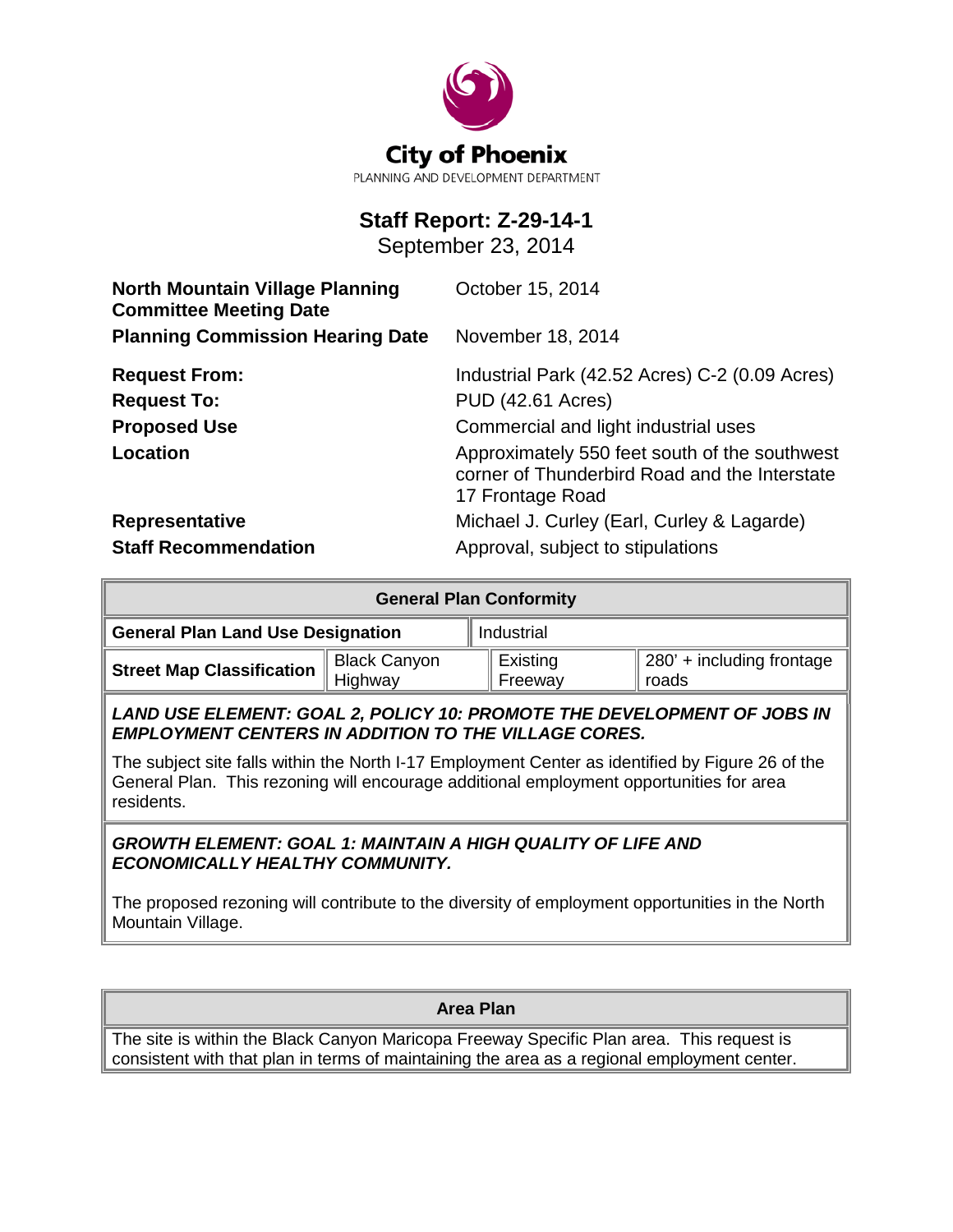

# **Staff Report: Z-29-14-1**

September 23, 2014

| <b>North Mountain Village Planning</b><br><b>Committee Meeting Date</b> | October 15, 2014                                                                                                   |  |  |
|-------------------------------------------------------------------------|--------------------------------------------------------------------------------------------------------------------|--|--|
| <b>Planning Commission Hearing Date</b>                                 | November 18, 2014                                                                                                  |  |  |
| <b>Request From:</b>                                                    | Industrial Park (42.52 Acres) C-2 (0.09 Acres)                                                                     |  |  |
| <b>Request To:</b>                                                      | <b>PUD (42.61 Acres)</b>                                                                                           |  |  |
| <b>Proposed Use</b>                                                     | Commercial and light industrial uses                                                                               |  |  |
| <b>Location</b>                                                         | Approximately 550 feet south of the southwest<br>corner of Thunderbird Road and the Interstate<br>17 Frontage Road |  |  |
| Representative                                                          | Michael J. Curley (Earl, Curley & Lagarde)                                                                         |  |  |
| <b>Staff Recommendation</b>                                             | Approval, subject to stipulations                                                                                  |  |  |

| <b>General Plan Conformity</b>           |                                |                       |                                    |  |
|------------------------------------------|--------------------------------|-----------------------|------------------------------------|--|
| <b>General Plan Land Use Designation</b> |                                | Industrial            |                                    |  |
| <b>Street Map Classification</b>         | <b>Black Canyon</b><br>Highway | ∣ Existing<br>Freeway | 280' + including frontage<br>roads |  |

*LAND USE ELEMENT: GOAL 2, POLICY 10: PROMOTE THE DEVELOPMENT OF JOBS IN EMPLOYMENT CENTERS IN ADDITION TO THE VILLAGE CORES.*

The subject site falls within the North I-17 Employment Center as identified by Figure 26 of the General Plan. This rezoning will encourage additional employment opportunities for area residents.

### *GROWTH ELEMENT: GOAL 1: MAINTAIN A HIGH QUALITY OF LIFE AND ECONOMICALLY HEALTHY COMMUNITY.*

The proposed rezoning will contribute to the diversity of employment opportunities in the North Mountain Village.

**Area Plan**

The site is within the Black Canyon Maricopa Freeway Specific Plan area. This request is consistent with that plan in terms of maintaining the area as a regional employment center.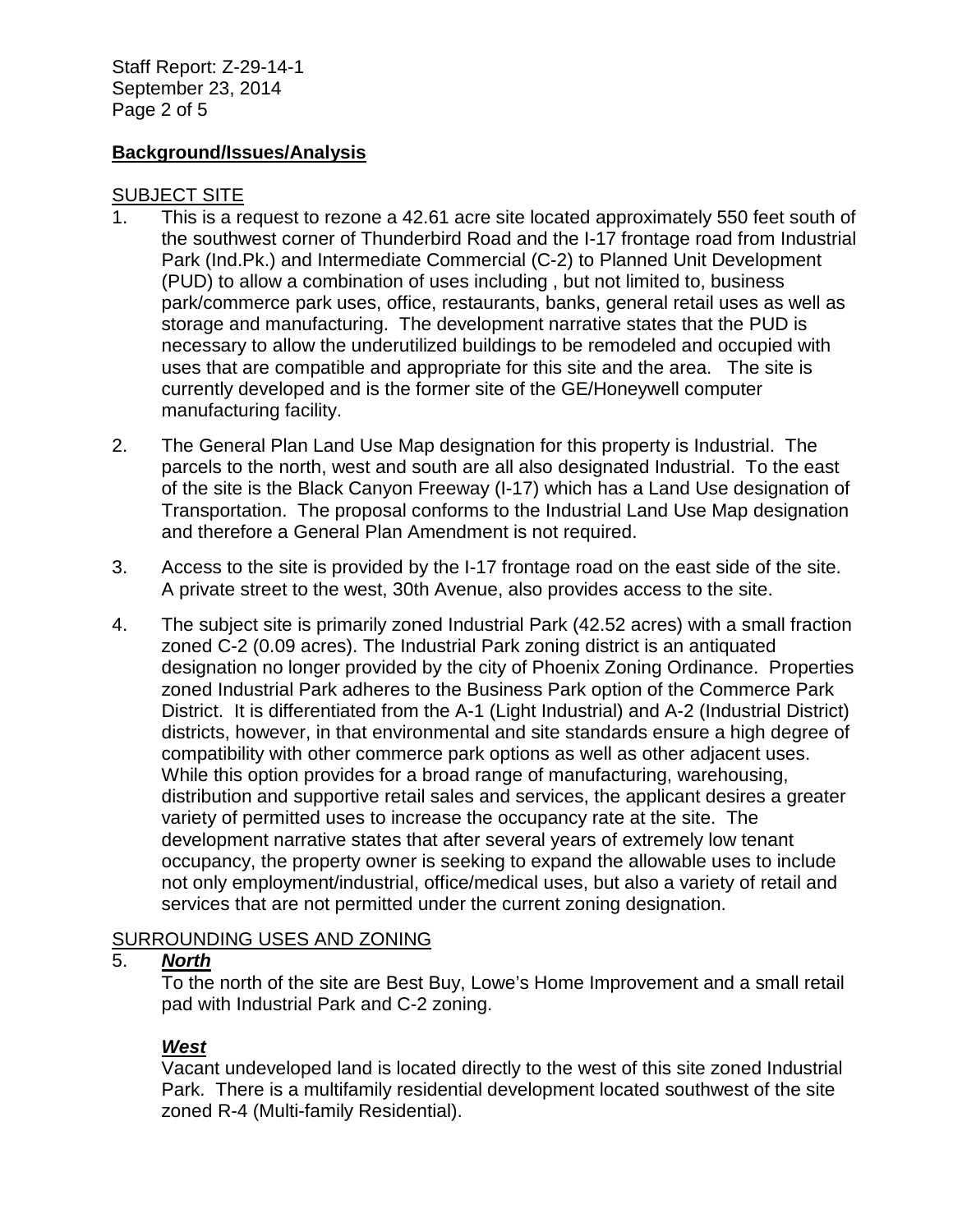Staff Report: Z-29-14-1 September 23, 2014 Page 2 of 5

### **Background/Issues/Analysis**

#### SUBJECT SITE

- 1. This is a request to rezone a 42.61 acre site located approximately 550 feet south of the southwest corner of Thunderbird Road and the I-17 frontage road from Industrial Park (Ind.Pk.) and Intermediate Commercial (C-2) to Planned Unit Development (PUD) to allow a combination of uses including , but not limited to, business park/commerce park uses, office, restaurants, banks, general retail uses as well as storage and manufacturing. The development narrative states that the PUD is necessary to allow the underutilized buildings to be remodeled and occupied with uses that are compatible and appropriate for this site and the area. The site is currently developed and is the former site of the GE/Honeywell computer manufacturing facility.
- 2. The General Plan Land Use Map designation for this property is Industrial. The parcels to the north, west and south are all also designated Industrial. To the east of the site is the Black Canyon Freeway (I-17) which has a Land Use designation of Transportation. The proposal conforms to the Industrial Land Use Map designation and therefore a General Plan Amendment is not required.
- 3. Access to the site is provided by the I-17 frontage road on the east side of the site. A private street to the west, 30th Avenue, also provides access to the site.
- 4. The subject site is primarily zoned Industrial Park (42.52 acres) with a small fraction zoned C-2 (0.09 acres). The Industrial Park zoning district is an antiquated designation no longer provided by the city of Phoenix Zoning Ordinance. Properties zoned Industrial Park adheres to the Business Park option of the Commerce Park District. It is differentiated from the A-1 (Light Industrial) and A-2 (Industrial District) districts, however, in that environmental and site standards ensure a high degree of compatibility with other commerce park options as well as other adjacent uses. While this option provides for a broad range of manufacturing, warehousing, distribution and supportive retail sales and services, the applicant desires a greater variety of permitted uses to increase the occupancy rate at the site. The development narrative states that after several years of extremely low tenant occupancy, the property owner is seeking to expand the allowable uses to include not only employment/industrial, office/medical uses, but also a variety of retail and services that are not permitted under the current zoning designation.

### SURROUNDING USES AND ZONING

#### 5. *North*

To the north of the site are Best Buy, Lowe's Home Improvement and a small retail pad with Industrial Park and C-2 zoning.

### *West*

Vacant undeveloped land is located directly to the west of this site zoned Industrial Park. There is a multifamily residential development located southwest of the site zoned R-4 (Multi-family Residential).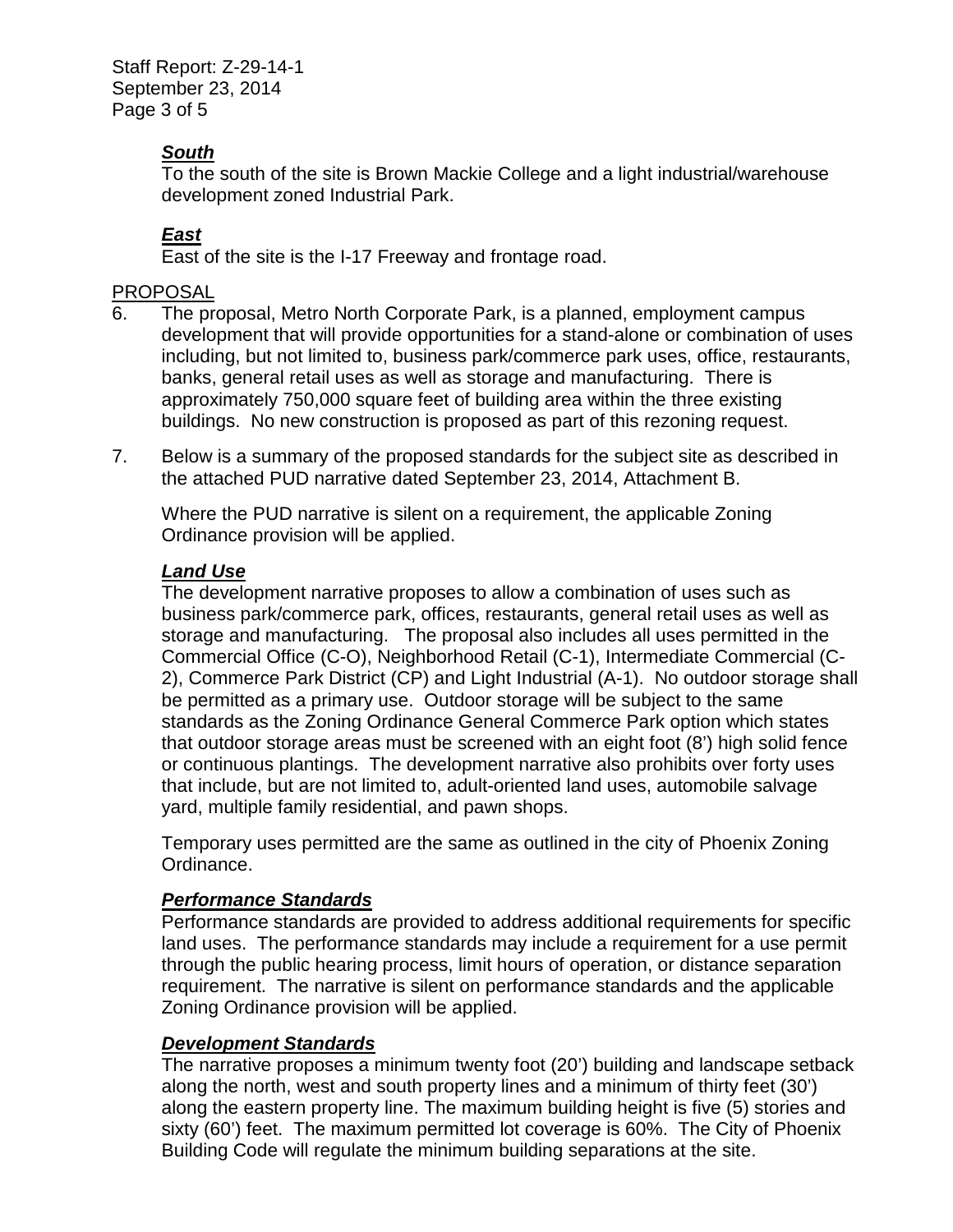Staff Report: Z-29-14-1 September 23, 2014 Page 3 of 5

# *South*

To the south of the site is Brown Mackie College and a light industrial/warehouse development zoned Industrial Park.

# *East*

East of the site is the I-17 Freeway and frontage road.

## PROPOSAL

- 6. The proposal, Metro North Corporate Park, is a planned, employment campus development that will provide opportunities for a stand-alone or combination of uses including, but not limited to, business park/commerce park uses, office, restaurants, banks, general retail uses as well as storage and manufacturing. There is approximately 750,000 square feet of building area within the three existing buildings. No new construction is proposed as part of this rezoning request.
- 7. Below is a summary of the proposed standards for the subject site as described in the attached PUD narrative dated September 23, 2014, Attachment B.

Where the PUD narrative is silent on a requirement, the applicable Zoning Ordinance provision will be applied.

# *Land Use*

The development narrative proposes to allow a combination of uses such as business park/commerce park, offices, restaurants, general retail uses as well as storage and manufacturing. The proposal also includes all uses permitted in the Commercial Office (C-O), Neighborhood Retail (C-1), Intermediate Commercial (C-2), Commerce Park District (CP) and Light Industrial (A-1). No outdoor storage shall be permitted as a primary use. Outdoor storage will be subject to the same standards as the Zoning Ordinance General Commerce Park option which states that outdoor storage areas must be screened with an eight foot (8') high solid fence or continuous plantings. The development narrative also prohibits over forty uses that include, but are not limited to, adult-oriented land uses, automobile salvage yard, multiple family residential, and pawn shops.

Temporary uses permitted are the same as outlined in the city of Phoenix Zoning Ordinance.

### *Performance Standards*

Performance standards are provided to address additional requirements for specific land uses. The performance standards may include a requirement for a use permit through the public hearing process, limit hours of operation, or distance separation requirement. The narrative is silent on performance standards and the applicable Zoning Ordinance provision will be applied.

# *Development Standards*

The narrative proposes a minimum twenty foot (20') building and landscape setback along the north, west and south property lines and a minimum of thirty feet (30') along the eastern property line. The maximum building height is five (5) stories and sixty (60') feet. The maximum permitted lot coverage is 60%. The City of Phoenix Building Code will regulate the minimum building separations at the site.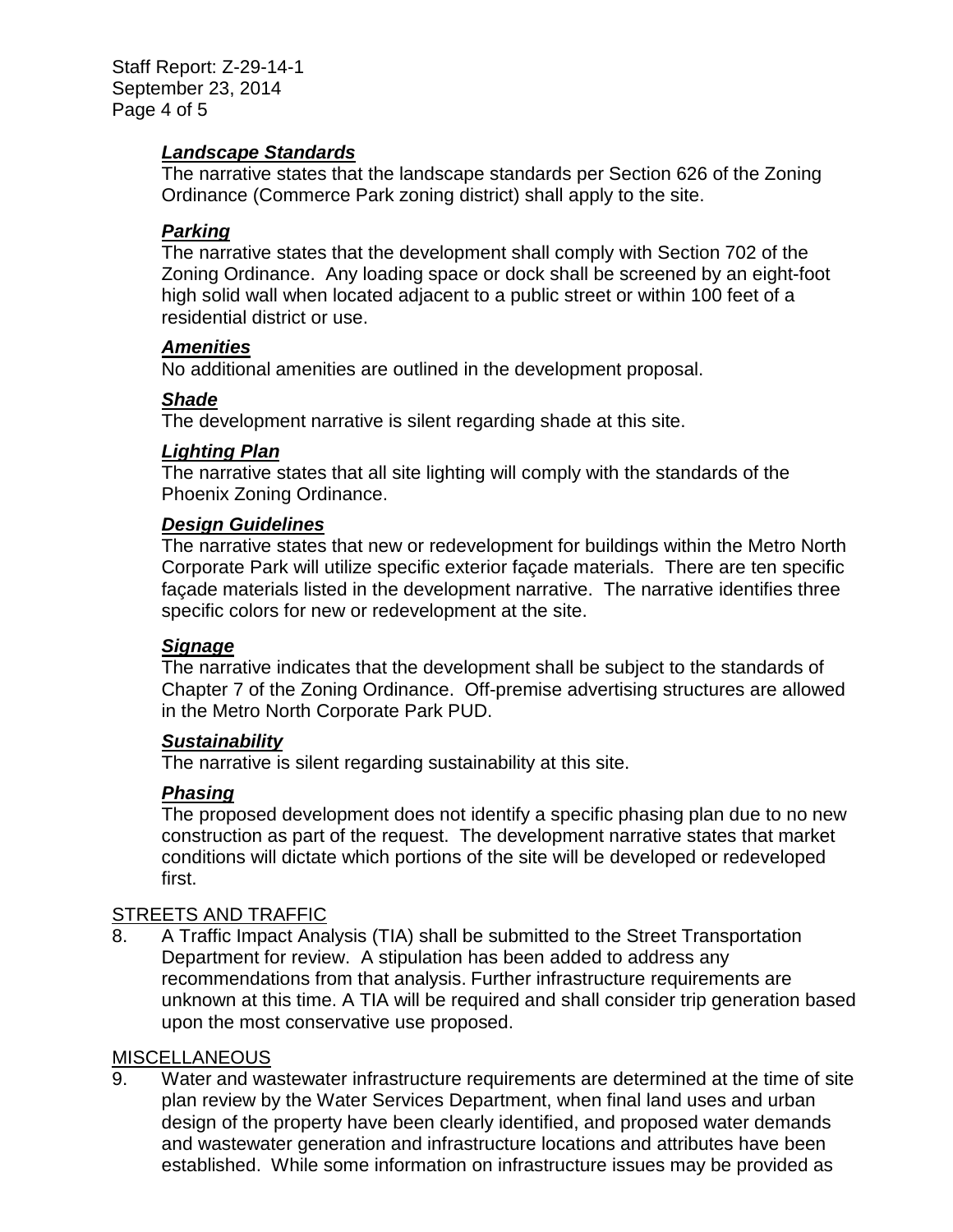Staff Report: Z-29-14-1 September 23, 2014 Page 4 of 5

#### *Landscape Standards*

The narrative states that the landscape standards per Section 626 of the Zoning Ordinance (Commerce Park zoning district) shall apply to the site.

## *Parking*

The narrative states that the development shall comply with Section 702 of the Zoning Ordinance. Any loading space or dock shall be screened by an eight-foot high solid wall when located adjacent to a public street or within 100 feet of a residential district or use.

### *Amenities*

No additional amenities are outlined in the development proposal.

### *Shade*

The development narrative is silent regarding shade at this site.

### *Lighting Plan*

The narrative states that all site lighting will comply with the standards of the Phoenix Zoning Ordinance.

#### *Design Guidelines*

The narrative states that new or redevelopment for buildings within the Metro North Corporate Park will utilize specific exterior façade materials. There are ten specific façade materials listed in the development narrative. The narrative identifies three specific colors for new or redevelopment at the site.

#### *Signage*

The narrative indicates that the development shall be subject to the standards of Chapter 7 of the Zoning Ordinance. Off-premise advertising structures are allowed in the Metro North Corporate Park PUD.

#### *Sustainability*

The narrative is silent regarding sustainability at this site.

### *Phasing*

The proposed development does not identify a specific phasing plan due to no new construction as part of the request. The development narrative states that market conditions will dictate which portions of the site will be developed or redeveloped first.

### STREETS AND TRAFFIC

8. A Traffic Impact Analysis (TIA) shall be submitted to the Street Transportation Department for review. A stipulation has been added to address any recommendations from that analysis. Further infrastructure requirements are unknown at this time. A TIA will be required and shall consider trip generation based upon the most conservative use proposed.

#### **MISCELLANEOUS**

9. Water and wastewater infrastructure requirements are determined at the time of site plan review by the Water Services Department, when final land uses and urban design of the property have been clearly identified, and proposed water demands and wastewater generation and infrastructure locations and attributes have been established. While some information on infrastructure issues may be provided as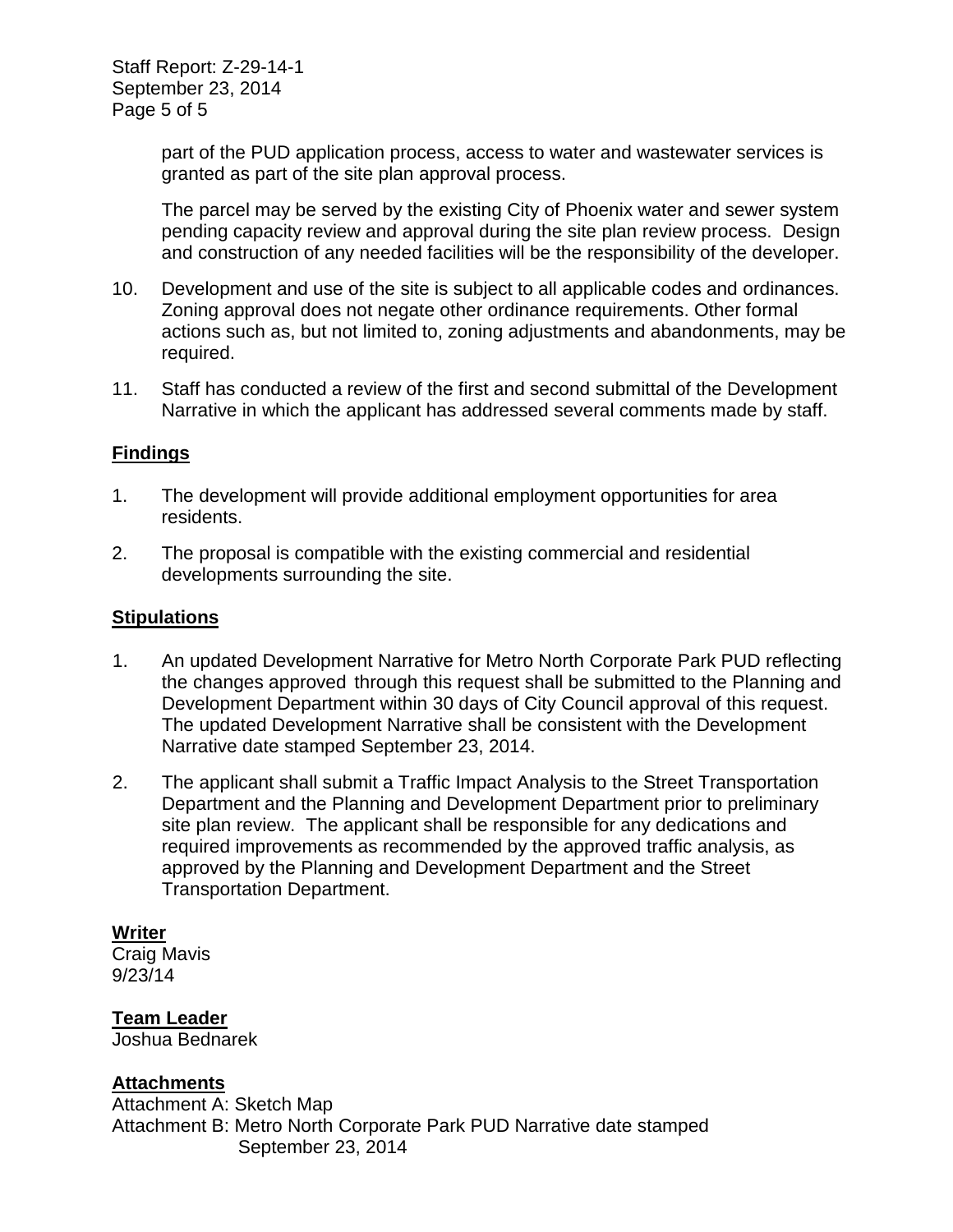part of the PUD application process, access to water and wastewater services is granted as part of the site plan approval process.

The parcel may be served by the existing City of Phoenix water and sewer system pending capacity review and approval during the site plan review process. Design and construction of any needed facilities will be the responsibility of the developer.

- 10. Development and use of the site is subject to all applicable codes and ordinances. Zoning approval does not negate other ordinance requirements. Other formal actions such as, but not limited to, zoning adjustments and abandonments, may be required.
- 11. Staff has conducted a review of the first and second submittal of the Development Narrative in which the applicant has addressed several comments made by staff.

## **Findings**

- 1. The development will provide additional employment opportunities for area residents.
- 2. The proposal is compatible with the existing commercial and residential developments surrounding the site.

#### **Stipulations**

- 1. An updated Development Narrative for Metro North Corporate Park PUD reflecting the changes approved through this request shall be submitted to the Planning and Development Department within 30 days of City Council approval of this request. The updated Development Narrative shall be consistent with the Development Narrative date stamped September 23, 2014.
- 2. The applicant shall submit a Traffic Impact Analysis to the Street Transportation Department and the Planning and Development Department prior to preliminary site plan review. The applicant shall be responsible for any dedications and required improvements as recommended by the approved traffic analysis, as approved by the Planning and Development Department and the Street Transportation Department.

### **Writer**

Craig Mavis 9/23/14

**Team Leader** Joshua Bednarek

# **Attachments**

Attachment A: Sketch Map Attachment B: Metro North Corporate Park PUD Narrative date stamped September 23, 2014